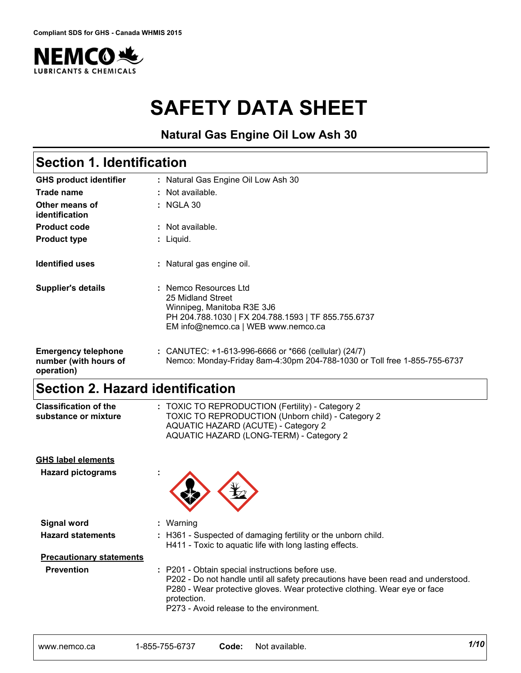

# **SAFETY DATA SHEET**

**Natural Gas Engine Oil Low Ash 30**

# **Section 1. Identification**

| <b>GHS product identifier</b>                                     | : Natural Gas Engine Oil Low Ash 30                                                                                                                                    |
|-------------------------------------------------------------------|------------------------------------------------------------------------------------------------------------------------------------------------------------------------|
| Trade name                                                        | : Not available.                                                                                                                                                       |
| Other means of<br>identification                                  | $:$ NGLA 30                                                                                                                                                            |
| <b>Product code</b>                                               | $\therefore$ Not available.                                                                                                                                            |
| <b>Product type</b>                                               | : Liquid.                                                                                                                                                              |
| <b>Identified uses</b>                                            | : Natural gas engine oil.                                                                                                                                              |
| <b>Supplier's details</b>                                         | : Nemco Resources Ltd<br>25 Midland Street<br>Winnipeg, Manitoba R3E 3J6<br>PH 204.788.1030   FX 204.788.1593   TF 855.755.6737<br>EM info@nemco.ca   WEB www.nemco.ca |
| <b>Emergency telephone</b><br>number (with hours of<br>operation) | : CANUTEC: $+1-613-996-6666$ or $*666$ (cellular) (24/7)<br>Nemco: Monday-Friday 8am-4:30pm 204-788-1030 or Toll free 1-855-755-6737                                   |

# **Section 2. Hazard identification**

| : TOXIC TO REPRODUCTION (Fertility) - Category 2<br>TOXIC TO REPRODUCTION (Unborn child) - Category 2<br>AQUATIC HAZARD (ACUTE) - Category 2 |                                         |
|----------------------------------------------------------------------------------------------------------------------------------------------|-----------------------------------------|
|                                                                                                                                              |                                         |
|                                                                                                                                              | AQUATIC HAZARD (LONG-TERM) - Category 2 |

|  | <b>GHS label elements</b> |
|--|---------------------------|
|--|---------------------------|

**Hazard pictograms :**



| Signal word                     | : Warning                                                                                                                                                                                                                                                                    |
|---------------------------------|------------------------------------------------------------------------------------------------------------------------------------------------------------------------------------------------------------------------------------------------------------------------------|
| <b>Hazard statements</b>        | : H361 - Suspected of damaging fertility or the unborn child.<br>H411 - Toxic to aquatic life with long lasting effects.                                                                                                                                                     |
| <b>Precautionary statements</b> |                                                                                                                                                                                                                                                                              |
| <b>Prevention</b>               | : P201 - Obtain special instructions before use.<br>P202 - Do not handle until all safety precautions have been read and understood.<br>P280 - Wear protective gloves. Wear protective clothing. Wear eye or face<br>protection.<br>P273 - Avoid release to the environment. |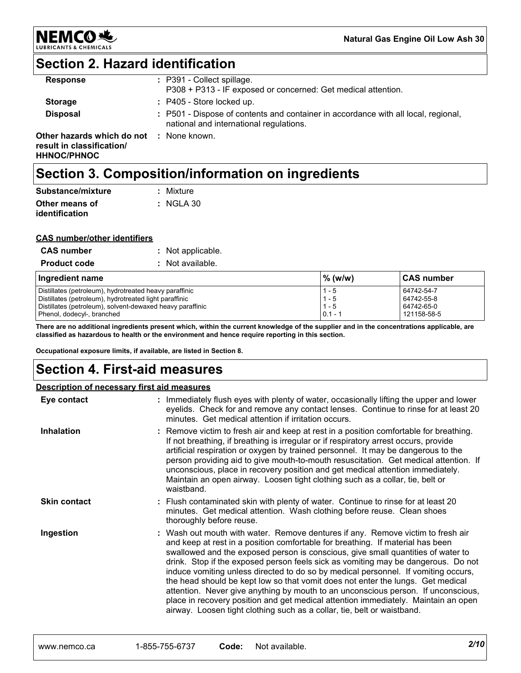

# **Section 2. Hazard identification**

| <b>Response</b>                                                                                    | : P391 - Collect spillage.<br>P308 + P313 - IF exposed or concerned: Get medical attention.                                   |
|----------------------------------------------------------------------------------------------------|-------------------------------------------------------------------------------------------------------------------------------|
| <b>Storage</b>                                                                                     | : P405 - Store locked up.                                                                                                     |
| <b>Disposal</b>                                                                                    | : P501 - Dispose of contents and container in accordance with all local, regional,<br>national and international regulations. |
| <b>Other hazards which do not : None known.</b><br>result in classification/<br><b>HHNOC/PHNOC</b> |                                                                                                                               |

# **Section 3. Composition/information on ingredients**

| Substance/mixture     | : Mixture            |
|-----------------------|----------------------|
| Other means of        | $\therefore$ NGLA 30 |
| <b>identification</b> |                      |

#### **CAS number/other identifiers**

| <b>CAS number</b>   | : Not applicable. |
|---------------------|-------------------|
| <b>Product code</b> | : Not available.  |

| Ingredient name                                           | % (w/w)   | ∣CAS number |
|-----------------------------------------------------------|-----------|-------------|
| Distillates (petroleum), hydrotreated heavy paraffinic    | $1 - 5$   | 64742-54-7  |
| Distillates (petroleum), hydrotreated light paraffinic    | $1 - 5$   | 64742-55-8  |
| Distillates (petroleum), solvent-dewaxed heavy paraffinic | $1 - 5$   | 64742-65-0  |
| Phenol, dodecyl-, branched                                | $0.1 - 1$ | 121158-58-5 |

**There are no additional ingredients present which, within the current knowledge of the supplier and in the concentrations applicable, are classified as hazardous to health or the environment and hence require reporting in this section.**

**Occupational exposure limits, if available, are listed in Section 8.**

# **Section 4. First-aid measures**

| Description of necessary first aid measures |                                                                                                                                                                                                                                                                                                                                                                                                                                                                                                                                                                                                                                                                                                                                                                           |
|---------------------------------------------|---------------------------------------------------------------------------------------------------------------------------------------------------------------------------------------------------------------------------------------------------------------------------------------------------------------------------------------------------------------------------------------------------------------------------------------------------------------------------------------------------------------------------------------------------------------------------------------------------------------------------------------------------------------------------------------------------------------------------------------------------------------------------|
| Eye contact                                 | : Immediately flush eyes with plenty of water, occasionally lifting the upper and lower<br>eyelids. Check for and remove any contact lenses. Continue to rinse for at least 20<br>minutes. Get medical attention if irritation occurs.                                                                                                                                                                                                                                                                                                                                                                                                                                                                                                                                    |
| <b>Inhalation</b>                           | : Remove victim to fresh air and keep at rest in a position comfortable for breathing.<br>If not breathing, if breathing is irregular or if respiratory arrest occurs, provide<br>artificial respiration or oxygen by trained personnel. It may be dangerous to the<br>person providing aid to give mouth-to-mouth resuscitation. Get medical attention. If<br>unconscious, place in recovery position and get medical attention immediately.<br>Maintain an open airway. Loosen tight clothing such as a collar, tie, belt or<br>waistband.                                                                                                                                                                                                                              |
| <b>Skin contact</b>                         | : Flush contaminated skin with plenty of water. Continue to rinse for at least 20<br>minutes. Get medical attention. Wash clothing before reuse. Clean shoes<br>thoroughly before reuse.                                                                                                                                                                                                                                                                                                                                                                                                                                                                                                                                                                                  |
| Ingestion                                   | : Wash out mouth with water. Remove dentures if any. Remove victim to fresh air<br>and keep at rest in a position comfortable for breathing. If material has been<br>swallowed and the exposed person is conscious, give small quantities of water to<br>drink. Stop if the exposed person feels sick as vomiting may be dangerous. Do not<br>induce vomiting unless directed to do so by medical personnel. If vomiting occurs,<br>the head should be kept low so that vomit does not enter the lungs. Get medical<br>attention. Never give anything by mouth to an unconscious person. If unconscious,<br>place in recovery position and get medical attention immediately. Maintain an open<br>airway. Loosen tight clothing such as a collar, tie, belt or waistband. |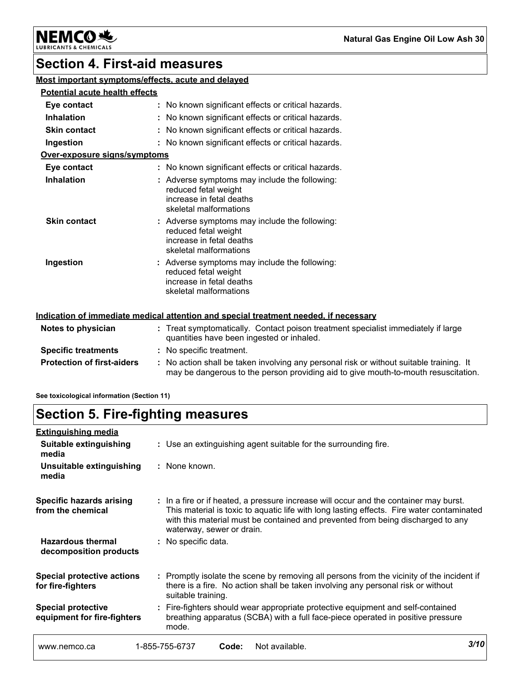

#### LUB

# **Section 4. First-aid measures**

### **Most important symptoms/effects, acute and delayed**

#### **Potential acute health effects**

| Eye contact                  | : No known significant effects or critical hazards.                                                                         |
|------------------------------|-----------------------------------------------------------------------------------------------------------------------------|
| <b>Inhalation</b>            | : No known significant effects or critical hazards.                                                                         |
| <b>Skin contact</b>          | : No known significant effects or critical hazards.                                                                         |
| Ingestion                    | : No known significant effects or critical hazards.                                                                         |
| Over-exposure signs/symptoms |                                                                                                                             |
| Eye contact                  | : No known significant effects or critical hazards.                                                                         |
| <b>Inhalation</b>            | : Adverse symptoms may include the following:<br>reduced fetal weight<br>increase in fetal deaths<br>skeletal malformations |
| <b>Skin contact</b>          | : Adverse symptoms may include the following:<br>reduced fetal weight<br>increase in fetal deaths<br>skeletal malformations |
| Ingestion                    | : Adverse symptoms may include the following:<br>reduced fetal weight<br>increase in fetal deaths<br>skeletal malformations |
|                              | Indication of immediate medical attention and special treatment needed, if necessary                                        |

| Notes to physician                | : Treat symptomatically. Contact poison treatment specialist immediately if large<br>quantities have been ingested or inhaled.                                                |
|-----------------------------------|-------------------------------------------------------------------------------------------------------------------------------------------------------------------------------|
| <b>Specific treatments</b>        | : No specific treatment.                                                                                                                                                      |
| <b>Protection of first-aiders</b> | : No action shall be taken involving any personal risk or without suitable training. It<br>may be dangerous to the person providing aid to give mouth-to-mouth resuscitation. |

**See toxicological information (Section 11)**

# **Section 5. Fire-fighting measures**

| <b>Extinguishing media</b>                               |                                                                                                                                                                                                                                                                                                    |  |
|----------------------------------------------------------|----------------------------------------------------------------------------------------------------------------------------------------------------------------------------------------------------------------------------------------------------------------------------------------------------|--|
| <b>Suitable extinguishing</b><br>media                   | : Use an extinguishing agent suitable for the surrounding fire.                                                                                                                                                                                                                                    |  |
| Unsuitable extinguishing<br>media                        | : None known.                                                                                                                                                                                                                                                                                      |  |
| <b>Specific hazards arising</b><br>from the chemical     | : In a fire or if heated, a pressure increase will occur and the container may burst.<br>This material is toxic to aquatic life with long lasting effects. Fire water contaminated<br>with this material must be contained and prevented from being discharged to any<br>waterway, sewer or drain. |  |
| <b>Hazardous thermal</b><br>decomposition products       | : No specific data.                                                                                                                                                                                                                                                                                |  |
| <b>Special protective actions</b><br>for fire-fighters   | : Promptly isolate the scene by removing all persons from the vicinity of the incident if<br>there is a fire. No action shall be taken involving any personal risk or without<br>suitable training.                                                                                                |  |
| <b>Special protective</b><br>equipment for fire-fighters | : Fire-fighters should wear appropriate protective equipment and self-contained<br>breathing apparatus (SCBA) with a full face-piece operated in positive pressure<br>mode.                                                                                                                        |  |
| www.nemco.ca                                             | 3/10<br>1-855-755-6737<br>Not available.<br>Code:                                                                                                                                                                                                                                                  |  |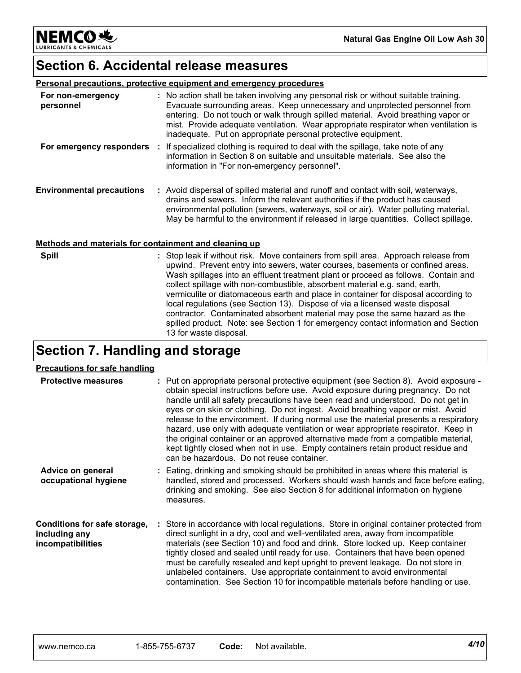**NEMCO头** LUBRICANTS & CHEMICALS

### **Section 6. Accidental release measures**

### **Personal precautions, protective equipment and emergency procedures For non-emergency**

| For non-emergency<br>personnel   | : No action shall be taken involving any personal risk or without suitable training.<br>Evacuate surrounding areas. Keep unnecessary and unprotected personnel from<br>entering. Do not touch or walk through spilled material. Avoid breathing vapor or<br>mist. Provide adequate ventilation. Wear appropriate respirator when ventilation is<br>inadequate. Put on appropriate personal protective equipment. |
|----------------------------------|------------------------------------------------------------------------------------------------------------------------------------------------------------------------------------------------------------------------------------------------------------------------------------------------------------------------------------------------------------------------------------------------------------------|
| For emergency responders         | : If specialized clothing is required to deal with the spillage, take note of any<br>information in Section 8 on suitable and unsuitable materials. See also the<br>information in "For non-emergency personnel".                                                                                                                                                                                                |
| <b>Environmental precautions</b> | : Avoid dispersal of spilled material and runoff and contact with soil, waterways,<br>drains and sewers. Inform the relevant authorities if the product has caused<br>environmental pollution (sewers, waterways, soil or air). Water polluting material.<br>May be harmful to the environment if released in large quantities. Collect spillage.                                                                |

### **Methods and materials for containment and cleaning up**

| <b>Spill</b> | : Stop leak if without risk. Move containers from spill area. Approach release from<br>upwind. Prevent entry into sewers, water courses, basements or confined areas.<br>Wash spillages into an effluent treatment plant or proceed as follows. Contain and<br>collect spillage with non-combustible, absorbent material e.g. sand, earth,<br>vermiculite or diatomaceous earth and place in container for disposal according to<br>local regulations (see Section 13). Dispose of via a licensed waste disposal<br>contractor. Contaminated absorbent material may pose the same hazard as the<br>spilled product. Note: see Section 1 for emergency contact information and Section<br>13 for waste disposal. |
|--------------|-----------------------------------------------------------------------------------------------------------------------------------------------------------------------------------------------------------------------------------------------------------------------------------------------------------------------------------------------------------------------------------------------------------------------------------------------------------------------------------------------------------------------------------------------------------------------------------------------------------------------------------------------------------------------------------------------------------------|
|--------------|-----------------------------------------------------------------------------------------------------------------------------------------------------------------------------------------------------------------------------------------------------------------------------------------------------------------------------------------------------------------------------------------------------------------------------------------------------------------------------------------------------------------------------------------------------------------------------------------------------------------------------------------------------------------------------------------------------------------|

# **Section 7. Handling and storage**

### **Precautions for safe handling**

| <u> 1 ccautions for sale handling</u>                              |                                                                                                                                                                                                                                                                                                                                                                                                                                                                                                                                                                                                                                                                                                                                                      |
|--------------------------------------------------------------------|------------------------------------------------------------------------------------------------------------------------------------------------------------------------------------------------------------------------------------------------------------------------------------------------------------------------------------------------------------------------------------------------------------------------------------------------------------------------------------------------------------------------------------------------------------------------------------------------------------------------------------------------------------------------------------------------------------------------------------------------------|
| <b>Protective measures</b>                                         | : Put on appropriate personal protective equipment (see Section 8). Avoid exposure -<br>obtain special instructions before use. Avoid exposure during pregnancy. Do not<br>handle until all safety precautions have been read and understood. Do not get in<br>eyes or on skin or clothing. Do not ingest. Avoid breathing vapor or mist. Avoid<br>release to the environment. If during normal use the material presents a respiratory<br>hazard, use only with adequate ventilation or wear appropriate respirator. Keep in<br>the original container or an approved alternative made from a compatible material,<br>kept tightly closed when not in use. Empty containers retain product residue and<br>can be hazardous. Do not reuse container. |
| Advice on general<br>occupational hygiene                          | : Eating, drinking and smoking should be prohibited in areas where this material is<br>handled, stored and processed. Workers should wash hands and face before eating,<br>drinking and smoking. See also Section 8 for additional information on hygiene<br>measures.                                                                                                                                                                                                                                                                                                                                                                                                                                                                               |
| Conditions for safe storage,<br>including any<br>incompatibilities | : Store in accordance with local regulations. Store in original container protected from<br>direct sunlight in a dry, cool and well-ventilated area, away from incompatible<br>materials (see Section 10) and food and drink. Store locked up. Keep container<br>tightly closed and sealed until ready for use. Containers that have been opened<br>must be carefully resealed and kept upright to prevent leakage. Do not store in<br>unlabeled containers. Use appropriate containment to avoid environmental<br>contamination. See Section 10 for incompatible materials before handling or use.                                                                                                                                                  |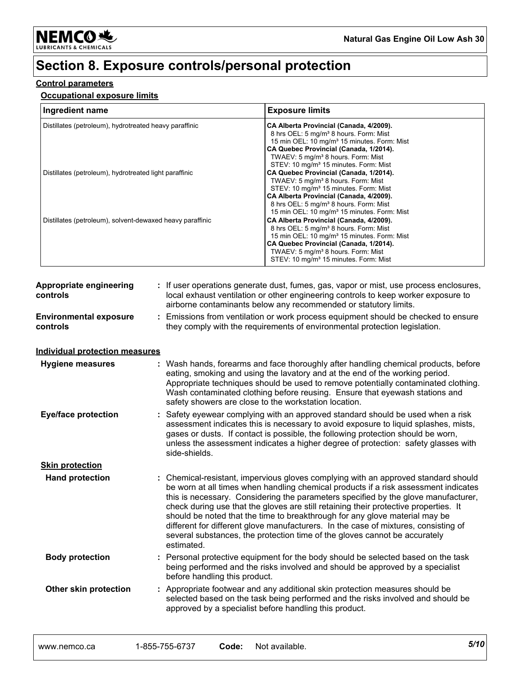

### **Section 8. Exposure controls/personal protection**

#### **Control parameters**

### **Occupational exposure limits**

| Ingredient name                                           | <b>Exposure limits</b>                                                                                                                                                                                                                                                                                    |
|-----------------------------------------------------------|-----------------------------------------------------------------------------------------------------------------------------------------------------------------------------------------------------------------------------------------------------------------------------------------------------------|
| Distillates (petroleum), hydrotreated heavy paraffinic    | CA Alberta Provincial (Canada, 4/2009).<br>8 hrs OEL: 5 mg/m <sup>3</sup> 8 hours. Form: Mist<br>15 min OEL: 10 mg/m <sup>3</sup> 15 minutes. Form: Mist<br>CA Quebec Provincial (Canada, 1/2014).<br>TWAEV: 5 mg/m <sup>3</sup> 8 hours. Form: Mist<br>STEV: 10 mg/m <sup>3</sup> 15 minutes. Form: Mist |
| Distillates (petroleum), hydrotreated light paraffinic    | CA Quebec Provincial (Canada, 1/2014).<br>TWAEV: 5 mg/m <sup>3</sup> 8 hours. Form: Mist<br>STEV: 10 mg/m <sup>3</sup> 15 minutes. Form: Mist<br>CA Alberta Provincial (Canada, 4/2009).<br>8 hrs OEL: 5 mg/m <sup>3</sup> 8 hours. Form: Mist<br>15 min OEL: 10 mg/m <sup>3</sup> 15 minutes. Form: Mist |
| Distillates (petroleum), solvent-dewaxed heavy paraffinic | CA Alberta Provincial (Canada, 4/2009).<br>8 hrs OEL: 5 mg/m <sup>3</sup> 8 hours. Form: Mist<br>15 min OEL: 10 mg/m <sup>3</sup> 15 minutes. Form: Mist<br>CA Quebec Provincial (Canada, 1/2014).<br>TWAEV: 5 mg/m <sup>3</sup> 8 hours. Form: Mist<br>STEV: 10 mg/m <sup>3</sup> 15 minutes. Form: Mist |

| Appropriate engineering<br><b>controls</b> | : If user operations generate dust, fumes, gas, vapor or mist, use process enclosures,<br>local exhaust ventilation or other engineering controls to keep worker exposure to<br>airborne contaminants below any recommended or statutory limits. |
|--------------------------------------------|--------------------------------------------------------------------------------------------------------------------------------------------------------------------------------------------------------------------------------------------------|
| <b>Environmental exposure</b>              | : Emissions from ventilation or work process equipment should be checked to ensure                                                                                                                                                               |
| <b>controls</b>                            | they comply with the requirements of environmental protection legislation.                                                                                                                                                                       |

### **Individual protection measures**

| <b>Hygiene measures</b>    | : Wash hands, forearms and face thoroughly after handling chemical products, before<br>eating, smoking and using the lavatory and at the end of the working period.<br>Appropriate techniques should be used to remove potentially contaminated clothing.<br>Wash contaminated clothing before reusing. Ensure that eyewash stations and<br>safety showers are close to the workstation location.                                                                                                                                                                                                                         |
|----------------------------|---------------------------------------------------------------------------------------------------------------------------------------------------------------------------------------------------------------------------------------------------------------------------------------------------------------------------------------------------------------------------------------------------------------------------------------------------------------------------------------------------------------------------------------------------------------------------------------------------------------------------|
| <b>Eye/face protection</b> | : Safety eyewear complying with an approved standard should be used when a risk<br>assessment indicates this is necessary to avoid exposure to liquid splashes, mists,<br>gases or dusts. If contact is possible, the following protection should be worn,<br>unless the assessment indicates a higher degree of protection: safety glasses with<br>side-shields.                                                                                                                                                                                                                                                         |
| <b>Skin protection</b>     |                                                                                                                                                                                                                                                                                                                                                                                                                                                                                                                                                                                                                           |
| <b>Hand protection</b>     | : Chemical-resistant, impervious gloves complying with an approved standard should<br>be worn at all times when handling chemical products if a risk assessment indicates<br>this is necessary. Considering the parameters specified by the glove manufacturer,<br>check during use that the gloves are still retaining their protective properties. It<br>should be noted that the time to breakthrough for any glove material may be<br>different for different glove manufacturers. In the case of mixtures, consisting of<br>several substances, the protection time of the gloves cannot be accurately<br>estimated. |
| <b>Body protection</b>     | : Personal protective equipment for the body should be selected based on the task<br>being performed and the risks involved and should be approved by a specialist<br>before handling this product.                                                                                                                                                                                                                                                                                                                                                                                                                       |
| Other skin protection      | : Appropriate footwear and any additional skin protection measures should be<br>selected based on the task being performed and the risks involved and should be<br>approved by a specialist before handling this product.                                                                                                                                                                                                                                                                                                                                                                                                 |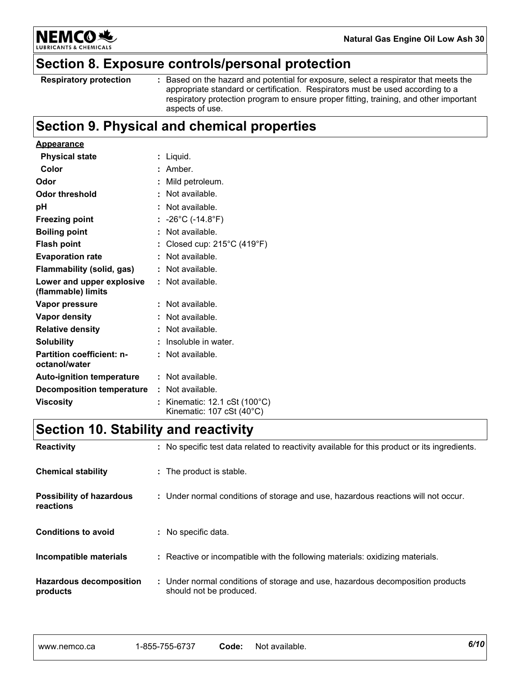

**Section 8. Exposure controls/personal protection**

**Respiratory protection :**

Based on the hazard and potential for exposure, select a respirator that meets the appropriate standard or certification. Respirators must be used according to a respiratory protection program to ensure proper fitting, training, and other important aspects of use.

# **Section 9. Physical and chemical properties**

| <b>Appearance</b>                                 |                                                                                    |
|---------------------------------------------------|------------------------------------------------------------------------------------|
| <b>Physical state</b>                             | : Liquid.                                                                          |
| Color                                             | : Amber                                                                            |
| Odor                                              | : Mild petroleum.                                                                  |
| Odor threshold                                    | : Not available.                                                                   |
| рH                                                | Not available.                                                                     |
| <b>Freezing point</b>                             | : $-26^{\circ}$ C (-14.8 $^{\circ}$ F)                                             |
| <b>Boiling point</b>                              | Not available.                                                                     |
| <b>Flash point</b>                                | Closed cup: 215°C (419°F)                                                          |
| <b>Evaporation rate</b>                           | : Not available.                                                                   |
| Flammability (solid, gas)                         | : Not available.                                                                   |
| Lower and upper explosive<br>(flammable) limits   | : Not available.                                                                   |
| Vapor pressure                                    | : Not available.                                                                   |
| <b>Vapor density</b>                              | Not available.                                                                     |
| <b>Relative density</b>                           | Not available.                                                                     |
| <b>Solubility</b>                                 | $:$ Insoluble in water.                                                            |
| <b>Partition coefficient: n-</b><br>octanol/water | : Not available.                                                                   |
| <b>Auto-ignition temperature</b>                  | $:$ Not available.                                                                 |
| <b>Decomposition temperature</b>                  | $\therefore$ Not available.                                                        |
| <b>Viscosity</b>                                  | Kinematic: $12.1 \text{ cSt } (100^{\circ} \text{C})$<br>Kinematic: 107 cSt (40°C) |

# **Section 10. Stability and reactivity**

| <b>Reactivity</b>                            | : No specific test data related to reactivity available for this product or its ingredients. |
|----------------------------------------------|----------------------------------------------------------------------------------------------|
| <b>Chemical stability</b>                    | : The product is stable.                                                                     |
| <b>Possibility of hazardous</b><br>reactions | : Under normal conditions of storage and use, hazardous reactions will not occur.            |
| <b>Conditions to avoid</b>                   | : No specific data.                                                                          |
| Incompatible materials                       | : Reactive or incompatible with the following materials: oxidizing materials.                |
| <b>Hazardous decomposition</b>               | : Under normal conditions of storage and use, hazardous decomposition products               |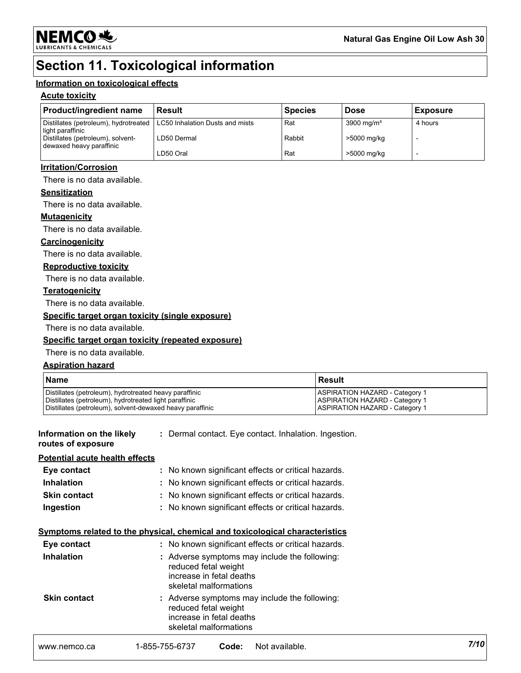

# **Section 11. Toxicological information**

### **Information on toxicological effects**

#### **Acute toxicity**

| <b>Product/ingredient name</b>                                                                | <b>Result</b> | <b>Species</b> | <b>Dose</b>            | <b>Exposure</b> |
|-----------------------------------------------------------------------------------------------|---------------|----------------|------------------------|-----------------|
| Distillates (petroleum), hydrotreated   LC50 Inhalation Dusts and mists<br>l light paraffinic |               | Rat            | 3900 mg/m <sup>3</sup> | 4 hours         |
| Distillates (petroleum), solvent-<br>dewaxed heavy paraffinic                                 | LD50 Dermal   | Rabbit         | >5000 mg/kg            |                 |
|                                                                                               | LD50 Oral     | Rat            | >5000 mg/kg            |                 |

#### **Irritation/Corrosion**

There is no data available.

#### **Sensitization**

There is no data available.

#### **Mutagenicity**

There is no data available.

#### **Carcinogenicity**

There is no data available.

#### **Reproductive toxicity**

There is no data available.

#### **Teratogenicity**

There is no data available.

#### **Specific target organ toxicity (single exposure)**

There is no data available.

### **Specific target organ toxicity (repeated exposure)**

There is no data available.

### **Aspiration hazard**

| <b>Name</b>                                               | Result                                |
|-----------------------------------------------------------|---------------------------------------|
| Distillates (petroleum), hydrotreated heavy paraffinic    | <b>ASPIRATION HAZARD - Category 1</b> |
| Distillates (petroleum), hydrotreated light paraffinic    | <b>ASPIRATION HAZARD - Category 1</b> |
| Distillates (petroleum), solvent-dewaxed heavy paraffinic | <b>ASPIRATION HAZARD - Category 1</b> |

#### **Information on the likely :** Dermal contact. Eye contact. Inhalation. Ingestion.

### **routes of exposure**

### **Potential acute health effects**

| Eye contact         | : No known significant effects or critical hazards. |
|---------------------|-----------------------------------------------------|
| <b>Inhalation</b>   | : No known significant effects or critical hazards. |
| <b>Skin contact</b> | : No known significant effects or critical hazards. |
| Ingestion           | : No known significant effects or critical hazards. |

#### **Symptoms related to the physical, chemical and toxicological characteristics**

| Eye contact         | : No known significant effects or critical hazards.                                                                         |
|---------------------|-----------------------------------------------------------------------------------------------------------------------------|
| <b>Inhalation</b>   | : Adverse symptoms may include the following:<br>reduced fetal weight<br>increase in fetal deaths<br>skeletal malformations |
| <b>Skin contact</b> | : Adverse symptoms may include the following:<br>reduced fetal weight<br>increase in fetal deaths<br>skeletal malformations |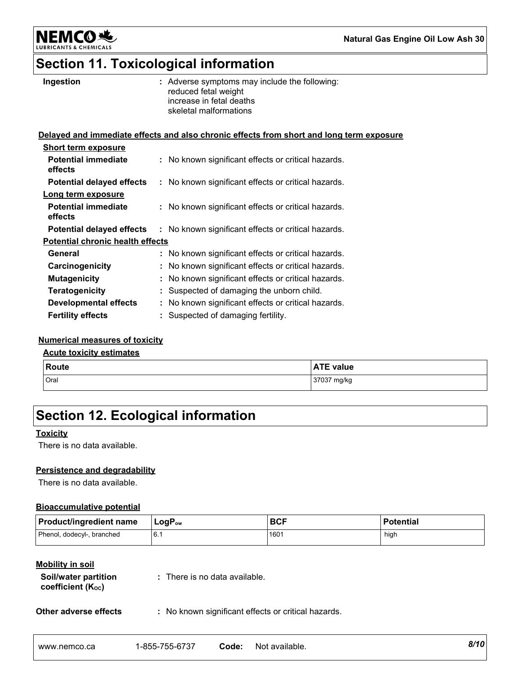**NEMCO头** LUBRIO

# **Section 11. Toxicological information**

| Ingestion                               | : Adverse symptoms may include the following:<br>reduced fetal weight<br>increase in fetal deaths<br>skeletal malformations |
|-----------------------------------------|-----------------------------------------------------------------------------------------------------------------------------|
|                                         | Delayed and immediate effects and also chronic effects from short and long term exposure                                    |
| <b>Short term exposure</b>              |                                                                                                                             |
| <b>Potential immediate</b><br>effects   | : No known significant effects or critical hazards.                                                                         |
| <b>Potential delayed effects</b>        | : No known significant effects or critical hazards.                                                                         |
| Long term exposure                      |                                                                                                                             |
| <b>Potential immediate</b><br>effects   | : No known significant effects or critical hazards.                                                                         |
| <b>Potential delayed effects</b>        | : No known significant effects or critical hazards.                                                                         |
| <b>Potential chronic health effects</b> |                                                                                                                             |
| General                                 | : No known significant effects or critical hazards.                                                                         |
| Carcinogenicity                         | : No known significant effects or critical hazards.                                                                         |
| <b>Mutagenicity</b>                     | : No known significant effects or critical hazards.                                                                         |
| <b>Teratogenicity</b>                   | : Suspected of damaging the unborn child.                                                                                   |
| <b>Developmental effects</b>            | : No known significant effects or critical hazards.                                                                         |
| <b>Fertility effects</b>                | : Suspected of damaging fertility.                                                                                          |

### **Numerical measures of toxicity**

#### **Acute toxicity estimates**

| <b>Route</b> | <b>ATE value</b> |
|--------------|------------------|
| Oral         | 37037 mg/kg      |

# **Section 12. Ecological information**

#### **Toxicity**

There is no data available.

### **Persistence and degradability**

There is no data available.

### **Bioaccumulative potential**

| <b>Product/ingredient name</b> | $LogP_{ow}$ | <b>BCF</b> | <b>Potential</b> |
|--------------------------------|-------------|------------|------------------|
| Phenol, dodecyl-, branched     | 6.1         | 1601       | high             |

#### **Mobility in soil**

| Soil/water partition   | : There is no data available. |
|------------------------|-------------------------------|
| coefficient $(K_{oc})$ |                               |

|  | Other adverse effects |  |  |
|--|-----------------------|--|--|
|--|-----------------------|--|--|

**Other adverse effects :** No known significant effects or critical hazards.

| 1-855-755-6737<br>Code:<br>www.nemco.ca | 8/10<br>Not available. |
|-----------------------------------------|------------------------|
|-----------------------------------------|------------------------|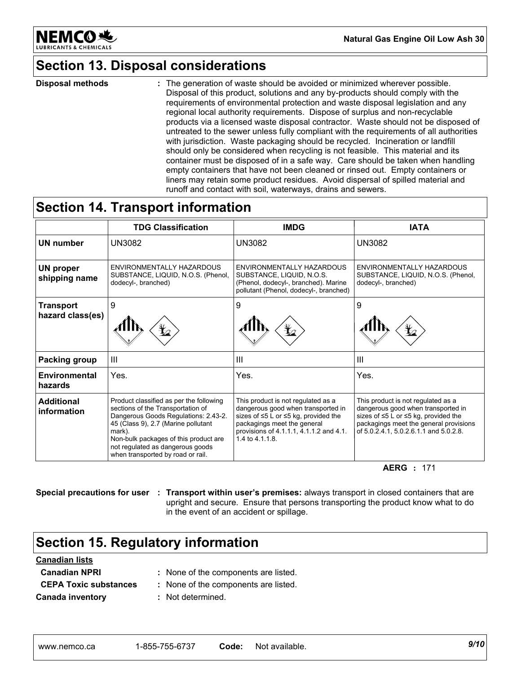

**Natural Gas Engine Oil Low Ash 30**

# **Section 13. Disposal considerations**

The generation of waste should be avoided or minimized wherever possible. Disposal of this product, solutions and any by-products should comply with the requirements of environmental protection and waste disposal legislation and any regional local authority requirements. Dispose of surplus and non-recyclable products via a licensed waste disposal contractor. Waste should not be disposed of untreated to the sewer unless fully compliant with the requirements of all authorities with jurisdiction. Waste packaging should be recycled. Incineration or landfill should only be considered when recycling is not feasible. This material and its container must be disposed of in a safe way. Care should be taken when handling empty containers that have not been cleaned or rinsed out. Empty containers or liners may retain some product residues. Avoid dispersal of spilled material and runoff and contact with soil, waterways, drains and sewers. **Disposal methods :**

### **Section 14. Transport information**

|                                      | <b>TDG Classification</b>                                                                                                                                                                                                                                                               | <b>IMDG</b>                                                                                                                                                                                                               | <b>IATA</b>                                                                                                                                                                                                      |
|--------------------------------------|-----------------------------------------------------------------------------------------------------------------------------------------------------------------------------------------------------------------------------------------------------------------------------------------|---------------------------------------------------------------------------------------------------------------------------------------------------------------------------------------------------------------------------|------------------------------------------------------------------------------------------------------------------------------------------------------------------------------------------------------------------|
| <b>UN number</b>                     | <b>UN3082</b>                                                                                                                                                                                                                                                                           | <b>UN3082</b>                                                                                                                                                                                                             | <b>UN3082</b>                                                                                                                                                                                                    |
| <b>UN proper</b><br>shipping name    | ENVIRONMENTALLY HAZARDOUS<br>SUBSTANCE, LIQUID, N.O.S. (Phenol,<br>dodecyl-, branched)                                                                                                                                                                                                  | ENVIRONMENTALLY HAZARDOUS<br>SUBSTANCE, LIQUID, N.O.S.<br>(Phenol, dodecyl-, branched). Marine<br>pollutant (Phenol, dodecyl-, branched)                                                                                  | ENVIRONMENTALLY HAZARDOUS<br>SUBSTANCE, LIQUID, N.O.S. (Phenol,<br>dodecyl-, branched)                                                                                                                           |
| <b>Transport</b><br>hazard class(es) | 9                                                                                                                                                                                                                                                                                       | 9                                                                                                                                                                                                                         | 9                                                                                                                                                                                                                |
|                                      | ⊻∠                                                                                                                                                                                                                                                                                      | ⊻⊿                                                                                                                                                                                                                        | ⋭2                                                                                                                                                                                                               |
| Packing group                        | III                                                                                                                                                                                                                                                                                     | $\mathbf{III}$                                                                                                                                                                                                            | $\mathbf{III}$                                                                                                                                                                                                   |
| Environmental<br>hazards             | Yes.                                                                                                                                                                                                                                                                                    | Yes.                                                                                                                                                                                                                      | Yes.                                                                                                                                                                                                             |
| <b>Additional</b><br>information     | Product classified as per the following<br>sections of the Transportation of<br>Dangerous Goods Regulations: 2.43-2.<br>45 (Class 9), 2.7 (Marine pollutant<br>mark).<br>Non-bulk packages of this product are<br>not regulated as dangerous goods<br>when transported by road or rail. | This product is not regulated as a<br>dangerous good when transported in<br>sizes of $\leq 5$ L or $\leq 5$ kg, provided the<br>packagings meet the general<br>provisions of 4.1.1.1, 4.1.1.2 and 4.1.<br>1.4 to 4.1.1.8. | This product is not regulated as a<br>dangerous good when transported in<br>sizes of $\leq 5$ L or $\leq 5$ kg, provided the<br>packagings meet the general provisions<br>of 5.0.2.4.1, 5.0.2.6.1.1 and 5.0.2.8. |

**AERG :** 171

**Special precautions for user Transport within user's premises:** always transport in closed containers that are **:** upright and secure. Ensure that persons transporting the product know what to do in the event of an accident or spillage.

# **Section 15. Regulatory information**

| <b>Canadian lists</b>        |                                      |
|------------------------------|--------------------------------------|
| <b>Canadian NPRI</b>         | : None of the components are listed. |
| <b>CEPA Toxic substances</b> | : None of the components are listed. |
| <b>Canada inventory</b>      | : Not determined.                    |